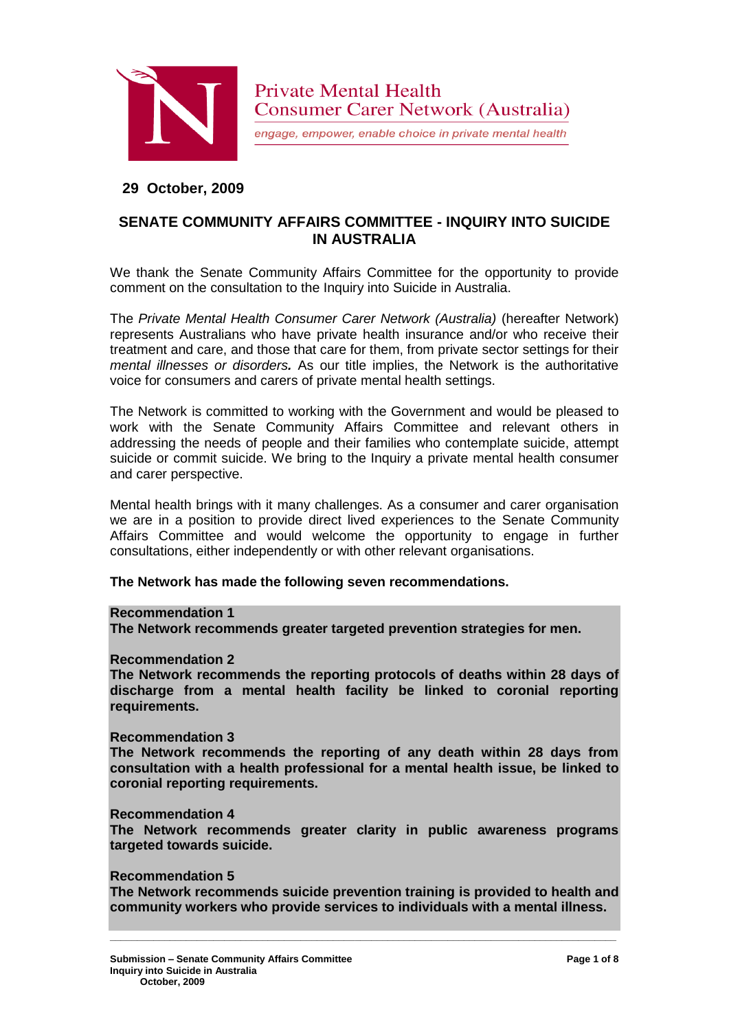

engage, empower, enable choice in private mental health

# **29 October, 2009**

# **SENATE COMMUNITY AFFAIRS COMMITTEE - INQUIRY INTO SUICIDE IN AUSTRALIA**

We thank the Senate Community Affairs Committee for the opportunity to provide comment on the consultation to the Inquiry into Suicide in Australia.

The *Private Mental Health Consumer Carer Network (Australia)* (hereafter Network) represents Australians who have private health insurance and/or who receive their treatment and care, and those that care for them, from private sector settings for their *mental illnesses or disorders.* As our title implies, the Network is the authoritative voice for consumers and carers of private mental health settings.

The Network is committed to working with the Government and would be pleased to work with the Senate Community Affairs Committee and relevant others in addressing the needs of people and their families who contemplate suicide, attempt suicide or commit suicide. We bring to the Inquiry a private mental health consumer and carer perspective.

Mental health brings with it many challenges. As a consumer and carer organisation we are in a position to provide direct lived experiences to the Senate Community Affairs Committee and would welcome the opportunity to engage in further consultations, either independently or with other relevant organisations.

# **The Network has made the following seven recommendations.**

#### **Recommendation 1**

**The Network recommends greater targeted prevention strategies for men.**

#### **Recommendation 2**

**The Network recommends the reporting protocols of deaths within 28 days of discharge from a mental health facility be linked to coronial reporting requirements.**

#### **Recommendation 3**

**The Network recommends the reporting of any death within 28 days from consultation with a health professional for a mental health issue, be linked to coronial reporting requirements.**

#### **Recommendation 4**

**The Network recommends greater clarity in public awareness programs targeted towards suicide.**

#### **Recommendation 5**

**The Network recommends suicide prevention training is provided to health and community workers who provide services to individuals with a mental illness.**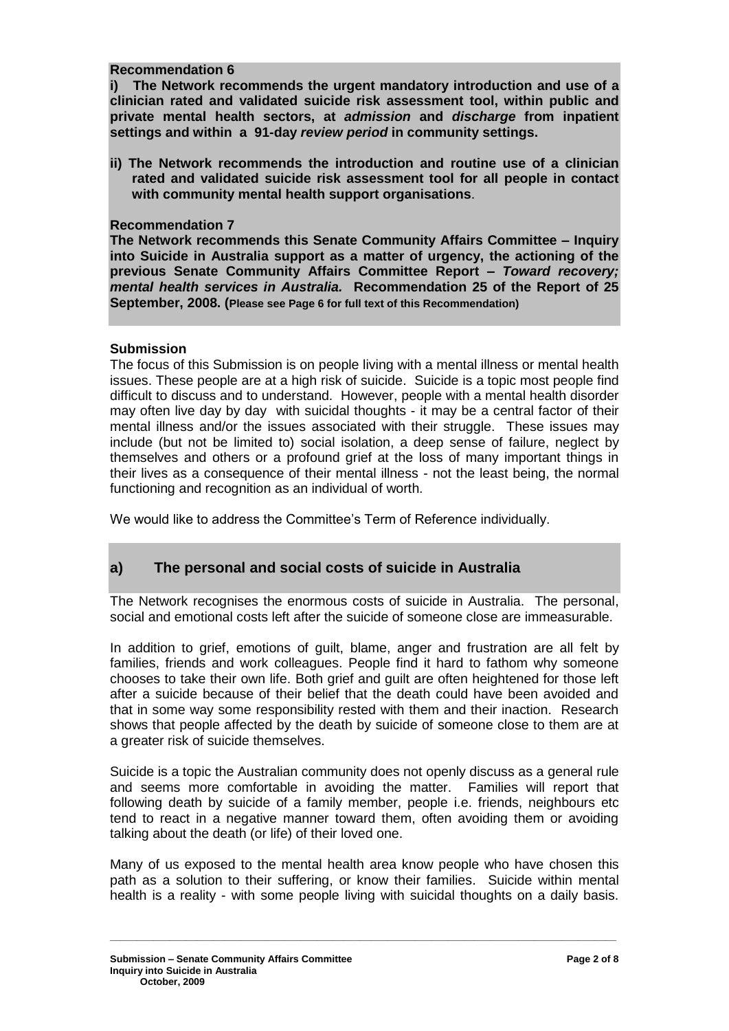### **Recommendation 6**

**i) The Network recommends the urgent mandatory introduction and use of a clinician rated and validated suicide risk assessment tool, within public and private mental health sectors, at** *admission* **and** *discharge* **from inpatient settings and within a 91-day** *review period* **in community settings.**

**ii) The Network recommends the introduction and routine use of a clinician rated and validated suicide risk assessment tool for all people in contact with community mental health support organisations**.

### **Recommendation 7**

**The Network recommends this Senate Community Affairs Committee – Inquiry into Suicide in Australia support as a matter of urgency, the actioning of the previous Senate Community Affairs Committee Report –** *Toward recovery; mental health services in Australia.* **Recommendation 25 of the Report of 25 September, 2008. (Please see Page 6 for full text of this Recommendation)**

### **Submission**

The focus of this Submission is on people living with a mental illness or mental health issues. These people are at a high risk of suicide. Suicide is a topic most people find difficult to discuss and to understand. However, people with a mental health disorder may often live day by day with suicidal thoughts - it may be a central factor of their mental illness and/or the issues associated with their struggle. These issues may include (but not be limited to) social isolation, a deep sense of failure, neglect by themselves and others or a profound grief at the loss of many important things in their lives as a consequence of their mental illness - not the least being, the normal functioning and recognition as an individual of worth.

We would like to address the Committee's Term of Reference individually.

# **a) The personal and social costs of suicide in Australia**

The Network recognises the enormous costs of suicide in Australia. The personal, social and emotional costs left after the suicide of someone close are immeasurable.

In addition to grief, emotions of guilt, blame, anger and frustration are all felt by families, friends and work colleagues. People find it hard to fathom why someone chooses to take their own life. Both grief and guilt are often heightened for those left after a suicide because of their belief that the death could have been avoided and that in some way some responsibility rested with them and their inaction. Research shows that people affected by the death by suicide of someone close to them are at a greater risk of suicide themselves.

Suicide is a topic the Australian community does not openly discuss as a general rule and seems more comfortable in avoiding the matter. Families will report that following death by suicide of a family member, people i.e. friends, neighbours etc tend to react in a negative manner toward them, often avoiding them or avoiding talking about the death (or life) of their loved one.

Many of us exposed to the mental health area know people who have chosen this path as a solution to their suffering, or know their families. Suicide within mental health is a reality - with some people living with suicidal thoughts on a daily basis.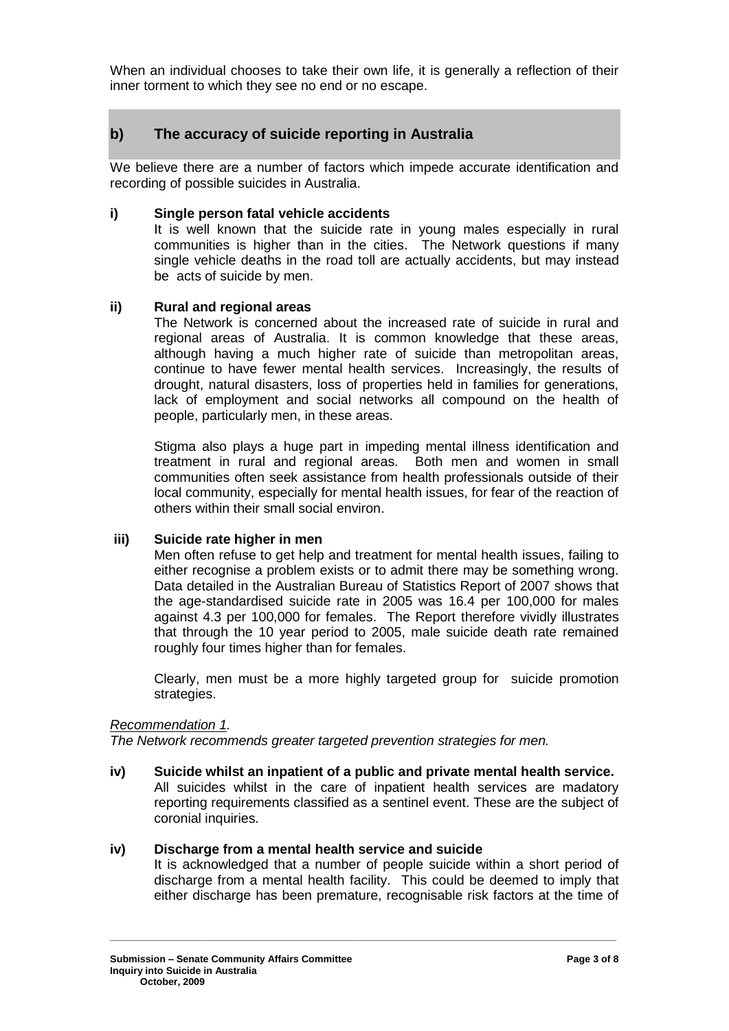When an individual chooses to take their own life, it is generally a reflection of their inner torment to which they see no end or no escape.

# **b) The accuracy of suicide reporting in Australia**

We believe there are a number of factors which impede accurate identification and recording of possible suicides in Australia.

### **i) Single person fatal vehicle accidents**

It is well known that the suicide rate in young males especially in rural communities is higher than in the cities. The Network questions if many single vehicle deaths in the road toll are actually accidents, but may instead be acts of suicide by men.

### **ii) Rural and regional areas**

The Network is concerned about the increased rate of suicide in rural and regional areas of Australia. It is common knowledge that these areas, although having a much higher rate of suicide than metropolitan areas, continue to have fewer mental health services. Increasingly, the results of drought, natural disasters, loss of properties held in families for generations, lack of employment and social networks all compound on the health of people, particularly men, in these areas.

Stigma also plays a huge part in impeding mental illness identification and treatment in rural and regional areas. Both men and women in small communities often seek assistance from health professionals outside of their local community, especially for mental health issues, for fear of the reaction of others within their small social environ.

# **iii) Suicide rate higher in men**

Men often refuse to get help and treatment for mental health issues, failing to either recognise a problem exists or to admit there may be something wrong. Data detailed in the Australian Bureau of Statistics Report of 2007 shows that the age-standardised suicide rate in 2005 was 16.4 per 100,000 for males against 4.3 per 100,000 for females. The Report therefore vividly illustrates that through the 10 year period to 2005, male suicide death rate remained roughly four times higher than for females.

Clearly, men must be a more highly targeted group for suicide promotion strategies.

#### *Recommendation 1.*

*The Network recommends greater targeted prevention strategies for men.*

**iv) Suicide whilst an inpatient of a public and private mental health service.** All suicides whilst in the care of inpatient health services are madatory reporting requirements classified as a sentinel event. These are the subject of coronial inquiries.

**\_\_\_\_\_\_\_\_\_\_\_\_\_\_\_\_\_\_\_\_\_\_\_\_\_\_\_\_\_\_\_\_\_\_\_\_\_\_\_\_\_\_\_\_\_\_\_\_\_\_\_\_\_\_\_\_\_\_\_\_\_\_\_\_\_\_\_\_\_\_\_\_\_\_\_\_\_\_\_\_\_\_\_\_\_\_\_\_\_\_\_\_\_**

#### **iv) Discharge from a mental health service and suicide**

It is acknowledged that a number of people suicide within a short period of discharge from a mental health facility. This could be deemed to imply that either discharge has been premature, recognisable risk factors at the time of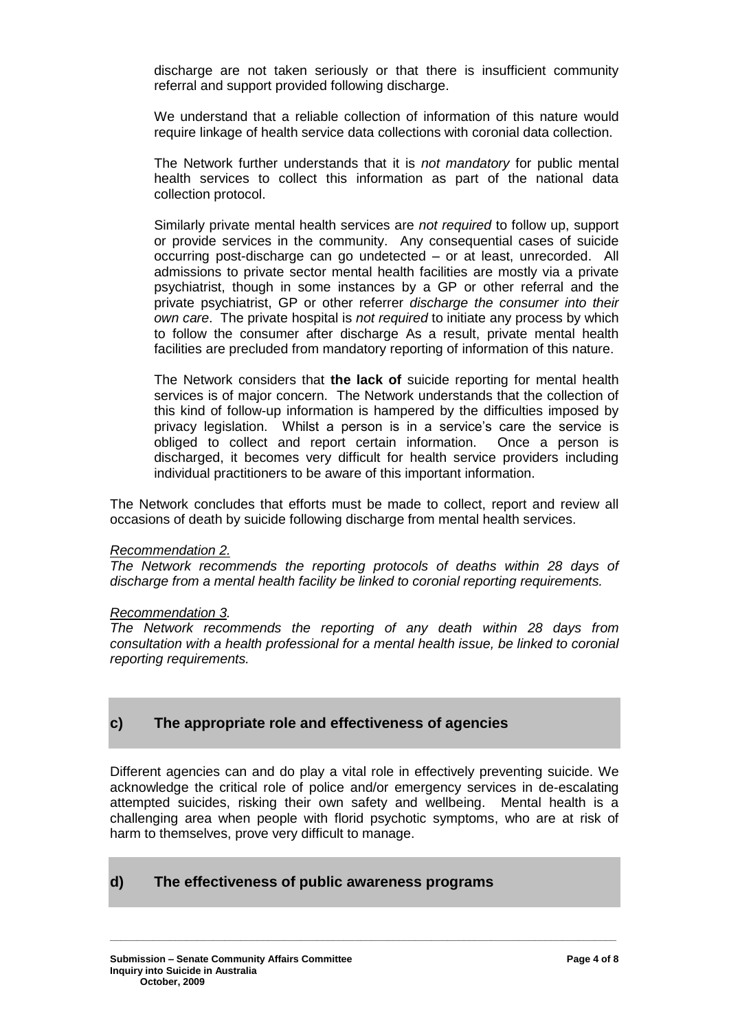discharge are not taken seriously or that there is insufficient community referral and support provided following discharge.

We understand that a reliable collection of information of this nature would require linkage of health service data collections with coronial data collection.

The Network further understands that it is *not mandatory* for public mental health services to collect this information as part of the national data collection protocol.

Similarly private mental health services are *not required* to follow up, support or provide services in the community. Any consequential cases of suicide occurring post-discharge can go undetected – or at least, unrecorded. All admissions to private sector mental health facilities are mostly via a private psychiatrist, though in some instances by a GP or other referral and the private psychiatrist, GP or other referrer *discharge the consumer into their own care*. The private hospital is *not required* to initiate any process by which to follow the consumer after discharge As a result, private mental health facilities are precluded from mandatory reporting of information of this nature.

The Network considers that **the lack of** suicide reporting for mental health services is of major concern. The Network understands that the collection of this kind of follow-up information is hampered by the difficulties imposed by privacy legislation. Whilst a person is in a service's care the service is obliged to collect and report certain information. Once a person is discharged, it becomes very difficult for health service providers including individual practitioners to be aware of this important information.

The Network concludes that efforts must be made to collect, report and review all occasions of death by suicide following discharge from mental health services.

#### *Recommendation 2.*

*The Network recommends the reporting protocols of deaths within 28 days of discharge from a mental health facility be linked to coronial reporting requirements.*

#### *Recommendation 3.*

*The Network recommends the reporting of any death within 28 days from consultation with a health professional for a mental health issue, be linked to coronial reporting requirements.*

# **c) The appropriate role and effectiveness of agencies**

Different agencies can and do play a vital role in effectively preventing suicide. We acknowledge the critical role of police and/or emergency services in de-escalating attempted suicides, risking their own safety and wellbeing. Mental health is a challenging area when people with florid psychotic symptoms, who are at risk of harm to themselves, prove very difficult to manage.

**\_\_\_\_\_\_\_\_\_\_\_\_\_\_\_\_\_\_\_\_\_\_\_\_\_\_\_\_\_\_\_\_\_\_\_\_\_\_\_\_\_\_\_\_\_\_\_\_\_\_\_\_\_\_\_\_\_\_\_\_\_\_\_\_\_\_\_\_\_\_\_\_\_\_\_\_\_\_\_\_\_\_\_\_\_\_\_\_\_\_\_\_\_**

# **d) The effectiveness of public awareness programs**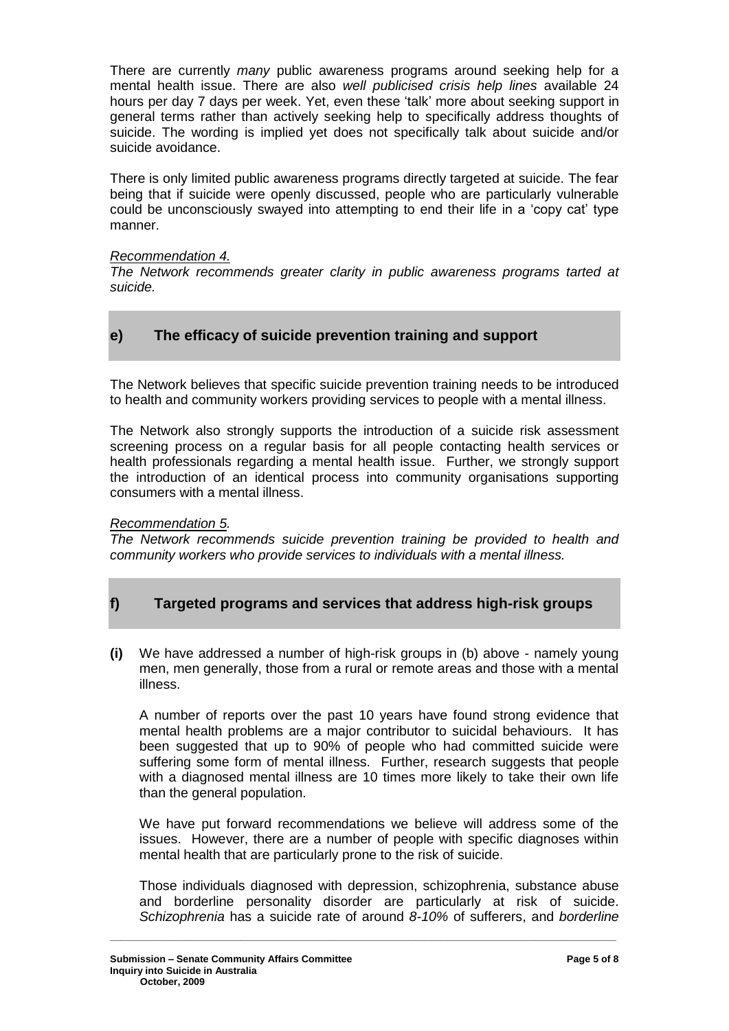There are currently *many* public awareness programs around seeking help for a mental health issue. There are also *well publicised crisis help lines* available 24 hours per day 7 days per week. Yet, even these 'talk' more about seeking support in general terms rather than actively seeking help to specifically address thoughts of suicide. The wording is implied yet does not specifically talk about suicide and/or suicide avoidance.

There is only limited public awareness programs directly targeted at suicide. The fear being that if suicide were openly discussed, people who are particularly vulnerable could be unconsciously swayed into attempting to end their life in a 'copy cat' type manner.

### *Recommendation 4.*

*The Network recommends greater clarity in public awareness programs tarted at suicide.*

# **e) The efficacy of suicide prevention training and support**

The Network believes that specific suicide prevention training needs to be introduced to health and community workers providing services to people with a mental illness.

The Network also strongly supports the introduction of a suicide risk assessment screening process on a regular basis for all people contacting health services or health professionals regarding a mental health issue. Further, we strongly support the introduction of an identical process into community organisations supporting consumers with a mental illness.

# *Recommendation 5.*

*The Network recommends suicide prevention training be provided to health and community workers who provide services to individuals with a mental illness.*

# **f) Targeted programs and services that address high-risk groups**

**(i)** We have addressed a number of high-risk groups in (b) above - namely young men, men generally, those from a rural or remote areas and those with a mental illness.

A number of reports over the past 10 years have found strong evidence that mental health problems are a major contributor to suicidal behaviours. It has been suggested that up to 90% of people who had committed suicide were suffering some form of mental illness. Further, research suggests that people with a diagnosed mental illness are 10 times more likely to take their own life than the general population.

We have put forward recommendations we believe will address some of the issues. However, there are a number of people with specific diagnoses within mental health that are particularly prone to the risk of suicide.

Those individuals diagnosed with depression, schizophrenia, substance abuse and borderline personality disorder are particularly at risk of suicide. *Schizophrenia* has a suicide rate of around *8-10%* of sufferers, and *borderline*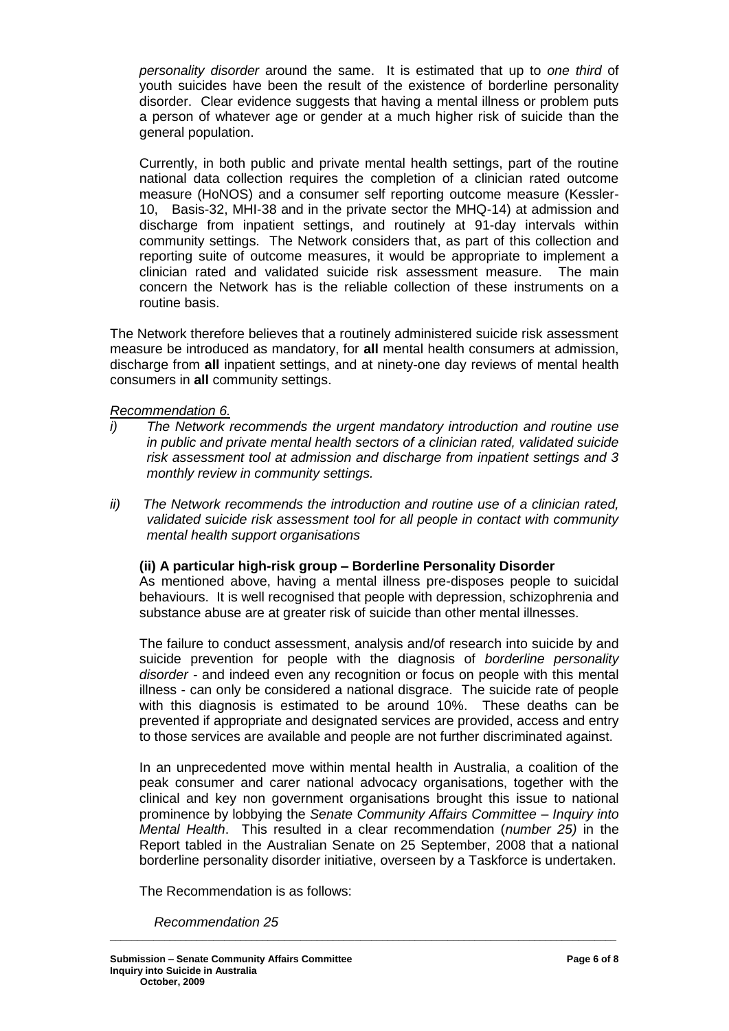*personality disorder* around the same. It is estimated that up to *one third* of youth suicides have been the result of the existence of borderline personality disorder. Clear evidence suggests that having a mental illness or problem puts a person of whatever age or gender at a much higher risk of suicide than the general population.

Currently, in both public and private mental health settings, part of the routine national data collection requires the completion of a clinician rated outcome measure (HoNOS) and a consumer self reporting outcome measure (Kessler-10, Basis-32, MHI-38 and in the private sector the MHQ-14) at admission and discharge from inpatient settings, and routinely at 91-day intervals within community settings. The Network considers that, as part of this collection and reporting suite of outcome measures, it would be appropriate to implement a clinician rated and validated suicide risk assessment measure. The main concern the Network has is the reliable collection of these instruments on a routine basis.

The Network therefore believes that a routinely administered suicide risk assessment measure be introduced as mandatory, for **all** mental health consumers at admission, discharge from **all** inpatient settings, and at ninety-one day reviews of mental health consumers in **all** community settings.

# *Recommendation 6.*

- *i) The Network recommends the urgent mandatory introduction and routine use in public and private mental health sectors of a clinician rated, validated suicide risk assessment tool at admission and discharge from inpatient settings and 3 monthly review in community settings.*
- *ii) The Network recommends the introduction and routine use of a clinician rated, validated suicide risk assessment tool for all people in contact with community mental health support organisations*

# **(ii) A particular high-risk group – Borderline Personality Disorder**

As mentioned above, having a mental illness pre-disposes people to suicidal behaviours. It is well recognised that people with depression, schizophrenia and substance abuse are at greater risk of suicide than other mental illnesses.

The failure to conduct assessment, analysis and/of research into suicide by and suicide prevention for people with the diagnosis of *borderline personality disorder -* and indeed even any recognition or focus on people with this mental illness - can only be considered a national disgrace. The suicide rate of people with this diagnosis is estimated to be around 10%. These deaths can be prevented if appropriate and designated services are provided, access and entry to those services are available and people are not further discriminated against.

In an unprecedented move within mental health in Australia, a coalition of the peak consumer and carer national advocacy organisations, together with the clinical and key non government organisations brought this issue to national prominence by lobbying the *Senate Community Affairs Committee – Inquiry into Mental Health*. This resulted in a clear recommendation (*number 25)* in the Report tabled in the Australian Senate on 25 September, 2008 that a national borderline personality disorder initiative, overseen by a Taskforce is undertaken.

**\_\_\_\_\_\_\_\_\_\_\_\_\_\_\_\_\_\_\_\_\_\_\_\_\_\_\_\_\_\_\_\_\_\_\_\_\_\_\_\_\_\_\_\_\_\_\_\_\_\_\_\_\_\_\_\_\_\_\_\_\_\_\_\_\_\_\_\_\_\_\_\_\_\_\_\_\_\_\_\_\_\_\_\_\_\_\_\_\_\_\_\_\_**

The Recommendation is as follows:

*Recommendation 25*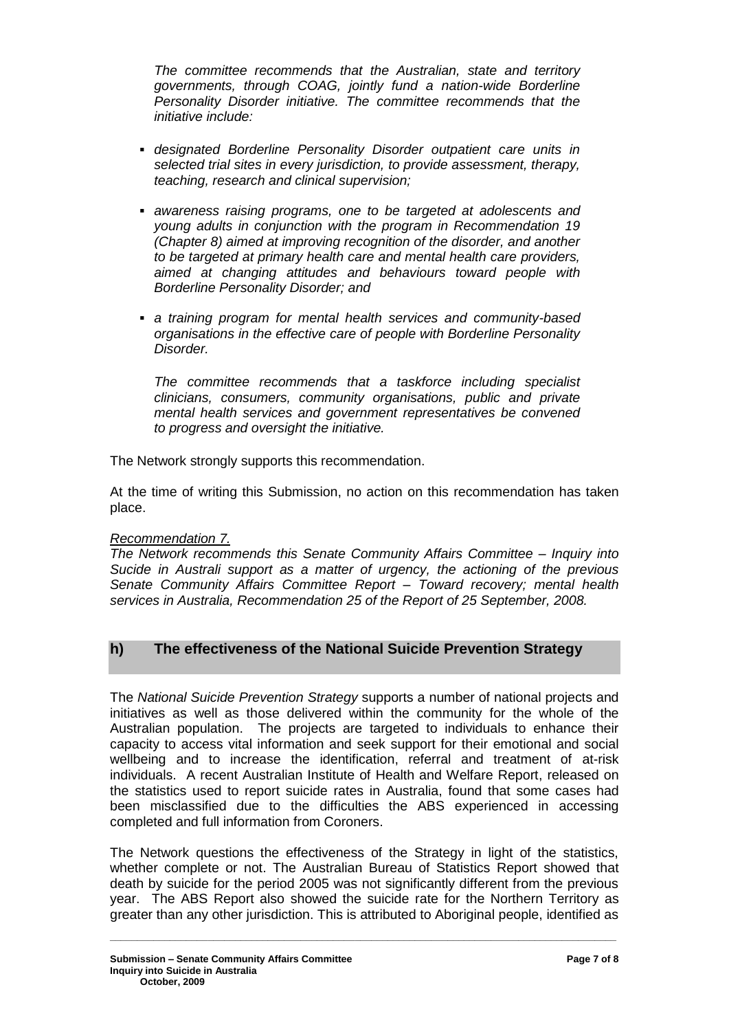*The committee recommends that the Australian, state and territory governments, through COAG, jointly fund a nation-wide Borderline Personality Disorder initiative. The committee recommends that the initiative include:*

- *designated Borderline Personality Disorder outpatient care units in selected trial sites in every jurisdiction, to provide assessment, therapy, teaching, research and clinical supervision;*
- *awareness raising programs, one to be targeted at adolescents and young adults in conjunction with the program in Recommendation 19 (Chapter 8) aimed at improving recognition of the disorder, and another to be targeted at primary health care and mental health care providers, aimed at changing attitudes and behaviours toward people with Borderline Personality Disorder; and*
- *a training program for mental health services and community-based organisations in the effective care of people with Borderline Personality Disorder.*

*The committee recommends that a taskforce including specialist clinicians, consumers, community organisations, public and private mental health services and government representatives be convened to progress and oversight the initiative.*

The Network strongly supports this recommendation.

At the time of writing this Submission, no action on this recommendation has taken place.

# *Recommendation 7.*

*The Network recommends this Senate Community Affairs Committee – Inquiry into Sucide in Australi support as a matter of urgency, the actioning of the previous Senate Community Affairs Committee Report – Toward recovery; mental health services in Australia, Recommendation 25 of the Report of 25 September, 2008.*

# **h) The effectiveness of the National Suicide Prevention Strategy**

The *National Suicide Prevention Strategy* supports a number of national projects and initiatives as well as those delivered within the community for the whole of the Australian population. The projects are targeted to individuals to enhance their capacity to access vital information and seek support for their emotional and social wellbeing and to increase the identification, referral and treatment of at-risk individuals. A recent Australian Institute of Health and Welfare Report, released on the statistics used to report suicide rates in Australia, found that some cases had been misclassified due to the difficulties the ABS experienced in accessing completed and full information from Coroners.

The Network questions the effectiveness of the Strategy in light of the statistics, whether complete or not. The Australian Bureau of Statistics Report showed that death by suicide for the period 2005 was not significantly different from the previous year. The ABS Report also showed the suicide rate for the Northern Territory as greater than any other jurisdiction. This is attributed to Aboriginal people, identified as